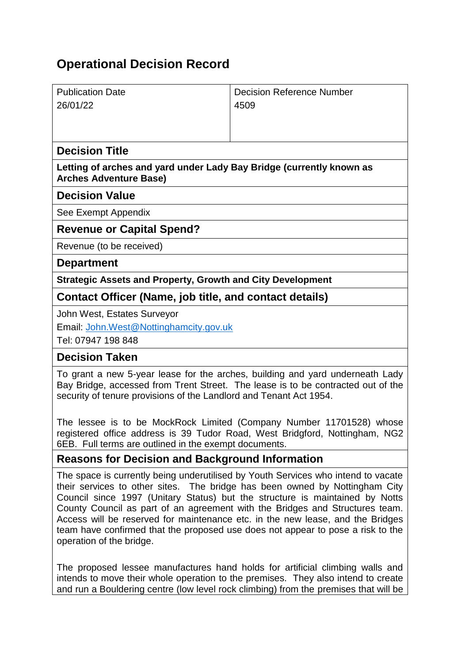# **Operational Decision Record**

| <b>Publication Date</b>                                                                               | <b>Decision Reference Number</b> |
|-------------------------------------------------------------------------------------------------------|----------------------------------|
| 26/01/22                                                                                              | 4509                             |
|                                                                                                       |                                  |
|                                                                                                       |                                  |
| <b>Decision Title</b>                                                                                 |                                  |
| Letting of arches and yard under Lady Bay Bridge (currently known as<br><b>Arches Adventure Base)</b> |                                  |
| <b>Decision Value</b>                                                                                 |                                  |
| See Exempt Appendix                                                                                   |                                  |
| <b>Revenue or Capital Spend?</b>                                                                      |                                  |
| Revenue (to be received)                                                                              |                                  |
| <b>Department</b>                                                                                     |                                  |
| <b>Strategic Assets and Property, Growth and City Development</b>                                     |                                  |
| Contact Officer (Name, job title, and contact details)                                                |                                  |
| John West, Estates Surveyor                                                                           |                                  |

Email: [John.West@Nottinghamcity.gov.uk](mailto:John.West@Nottinghamcity.gov.uk)

Tel: 07947 198 848

#### **Decision Taken**

To grant a new 5-year lease for the arches, building and yard underneath Lady Bay Bridge, accessed from Trent Street. The lease is to be contracted out of the security of tenure provisions of the Landlord and Tenant Act 1954.

The lessee is to be MockRock Limited (Company Number 11701528) whose registered office address is 39 Tudor Road, West Bridgford, Nottingham, NG2 6EB. Full terms are outlined in the exempt documents.

## **Reasons for Decision and Background Information**

The space is currently being underutilised by Youth Services who intend to vacate their services to other sites. The bridge has been owned by Nottingham City Council since 1997 (Unitary Status) but the structure is maintained by Notts County Council as part of an agreement with the Bridges and Structures team. Access will be reserved for maintenance etc. in the new lease, and the Bridges team have confirmed that the proposed use does not appear to pose a risk to the operation of the bridge.

The proposed lessee manufactures hand holds for artificial climbing walls and intends to move their whole operation to the premises. They also intend to create and run a Bouldering centre (low level rock climbing) from the premises that will be